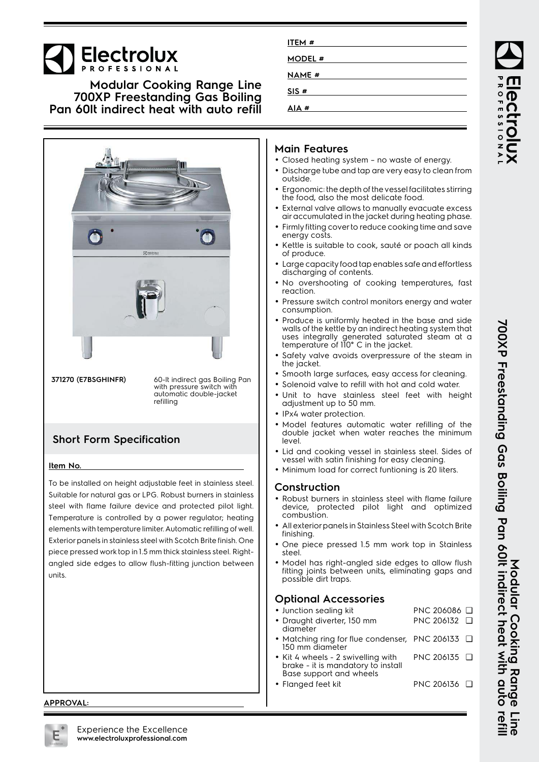# **Electrolux**

### **Modular Cooking Range Line 700XP Freestanding Gas Boiling Pan 60lt indirect heat with auto refill**



**371270 (E7BSGHINFR)** 60-lt indirect gas Boiling Pan with pressure switch with automatic double-jacket refilling

## **Short Form Specification**

#### **Item No.**

To be installed on height adjustable feet in stainless steel. Suitable for natural gas or LPG. Robust burners in stainless steel with flame failure device and protected pilot light. Temperature is controlled by a power regulator; heating elements with temperature limiter. Automatic refilling of well. Exterior panels in stainless steel with Scotch Brite finish. One piece pressed work top in 1.5 mm thick stainless steel. Rightangled side edges to allow flush-fitting junction between units.

#### **APPROVAL:**

| ITEM #        |  |
|---------------|--|
| <b>MODEL#</b> |  |
| <b>NAME #</b> |  |
| SIS#          |  |
| AIA #         |  |

#### **Main Features**

- Closed heating system no waste of energy.
- Discharge tube and tap are very easy to clean from outside.
- • Ergonomic: the depth of the vessel facilitates stirring the food, also the most delicate food.
- • External valve allows to manually evacuate excess air accumulated in the jacket during heating phase.
- Firmly fitting cover to reduce cooking time and save energy costs.
- Kettle is suitable to cook, sauté or poach all kinds of produce.
- Large capacity food tap enables safe and effortless discharging of contents.
- No overshooting of cooking temperatures, fast reaction.
- Pressure switch control monitors energy and water consumption.
- • Produce is uniformly heated in the base and side walls of the kettle by an indirect heating system that uses integrally generated saturated steam at a temperature of 110° C in the jacket.
- • Safety valve avoids overpressure of the steam in the jacket.
- Smooth large surfaces, easy access for cleaning.
- Solenoid valve to refill with hot and cold water.
- Unit to have stainless steel feet with height adjustment up to 50 mm.
- IPx4 water protection.
- Model features automatic water refilling of the double jacket when water reaches the minimum level.
- Lid and cooking vessel in stainless steel. Sides of vessel with satin finishing for easy cleaning.
- Minimum load for correct funtioning is 20 liters.

#### **Construction**

- Robust burners in stainless steel with flame failure device, protected pilot light and optimized combustion.
- • All exterior panels in Stainless Steel with Scotch Brite finishing.
- • One piece pressed 1.5 mm work top in Stainless steel.
- • Model has right-angled side edges to allow flush fitting joints between units, eliminating gaps and possible dirt traps.

#### **Optional Accessories**

- Junction sealing kit PNC 206086 ❑ • Draught diverter, 150 mm diameter PNC 206132 ❑ •• Matching ring for flue condenser, PNC 206133 □ 150 mm diameter
- • Kit 4 wheels - 2 swivelling with brake - it is mandatory to install Base support and wheels PNC 206135 ❑

• Flanged feet kit PNC 206136 ❑

ROFESSIONA

**700XP Freestanding Gas Boiling Pan 60lt indirect heat with auto refill** 700XP Freestanding Gas Boiling Pan 60It indirect heat with auto refil Modular Cooking Range **Modular Cooking Range Line** Fine

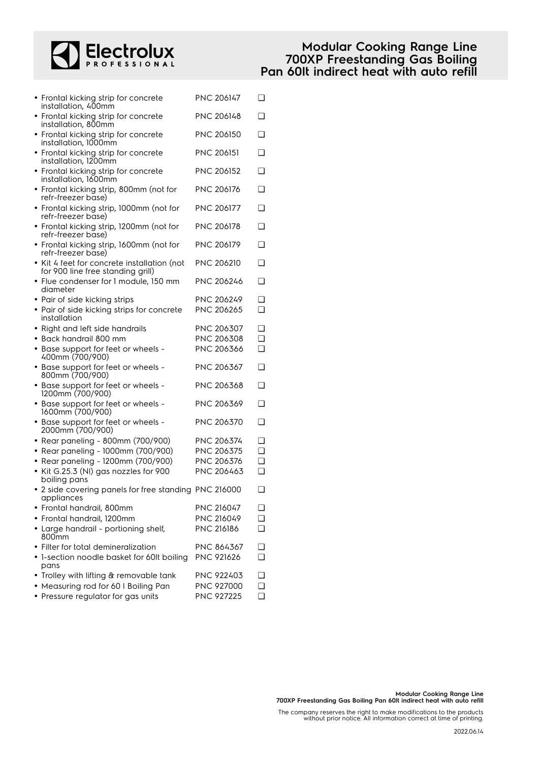

### **Modular Cooking Range Line 700XP Freestanding Gas Boiling Pan 60lt indirect heat with auto refill**

| • Frontal kicking strip for concrete<br>installation, 400mm                      | PNC 206147        | ❏      |
|----------------------------------------------------------------------------------|-------------------|--------|
| • Frontal kicking strip for concrete<br>installation, 800mm                      | PNC 206148        | ❏      |
| • Frontal kicking strip for concrete<br>installation, 1000mm                     | <b>PNC 206150</b> | ❏      |
| • Frontal kicking strip for concrete<br>installation, 1200mm                     | PNC 206151        | ❏      |
| • Frontal kicking strip for concrete<br>installation, 1600mm                     | <b>PNC 206152</b> | ❏      |
| • Frontal kicking strip, 800mm (not for<br>refr-freezer base)                    | PNC 206176        | $\Box$ |
| • Frontal kicking strip, 1000mm (not for<br>refr-freezer base)                   | <b>PNC 206177</b> | ❏      |
| • Frontal kicking strip, 1200mm (not for<br>refr-freezer base)                   | PNC 206178        | ❏      |
| • Frontal kicking strip, 1600mm (not for<br>refr-freezer base)                   | PNC 206179        | $\Box$ |
| • Kit 4 feet for concrete installation (not<br>for 900 line free standing grill) | PNC 206210        | ❏      |
| • Flue condenser for 1 module, 150 mm<br>diameter                                | PNC 206246        | ❏      |
| • Pair of side kicking strips                                                    | PNC 206249        | ❏      |
| • Pair of side kicking strips for concrete<br>installation                       | PNC 206265        | ◻      |
| • Right and left side handrails                                                  | PNC 206307        | ❏      |
| Back handrail 800 mm                                                             | PNC 206308        | ◻      |
| • Base support for feet or wheels -<br>400mm (700/900)                           | PNC 206366        | ❏      |
| • Base support for feet or wheels -<br>800mm (700/900)                           | PNC 206367        | ❏      |
| • Base support for feet or wheels -<br>1200mm (700/900)                          | PNC 206368        | ❏      |
| • Base support for feet or wheels -<br>1600mm (700/900)                          | PNC 206369        | ❏      |
| • Base support for feet or wheels -<br>2000mm (700/900)                          | PNC 206370        | ❏      |
| • Rear paneling - 800mm (700/900)                                                | <b>PNC 206374</b> | ❏      |
| • Rear paneling - 1000mm (700/900)                                               | PNC 206375        | ◻      |
| • Rear paneling - 1200mm (700/900)                                               | PNC 206376        | ◻      |
| • Kit G.25.3 (NI) gas nozzles for 900<br>boiling pans                            | PNC 206463        | ❏      |
| • 2 side covering panels for free standing PNC 216000<br>appliances              |                   | ❏      |
| • Frontal handrail, 800mm                                                        | PNC 216047        | ❏      |
| • Frontal handrail, 1200mm                                                       | PNC 216049        | ❏      |
| • Large handrail - portioning shelf,<br>800mm                                    | PNC 216186        | ❏      |
| • Filter for total demineralization                                              | PNC 864367        | $\Box$ |
| • 1-section noodle basket for 60lt boiling                                       | <b>PNC 921626</b> | ❏      |
| pans                                                                             |                   |        |
| • Trolley with lifting & removable tank                                          | <b>PNC 922403</b> | ❏      |
| • Measuring rod for 60 I Boiling Pan                                             | PNC 927000        | ❏      |
| • Pressure regulator for gas units                                               | PNC 927225        | ❏      |

The company reserves the right to make modifications to the products without prior notice. All information correct at time of printing.